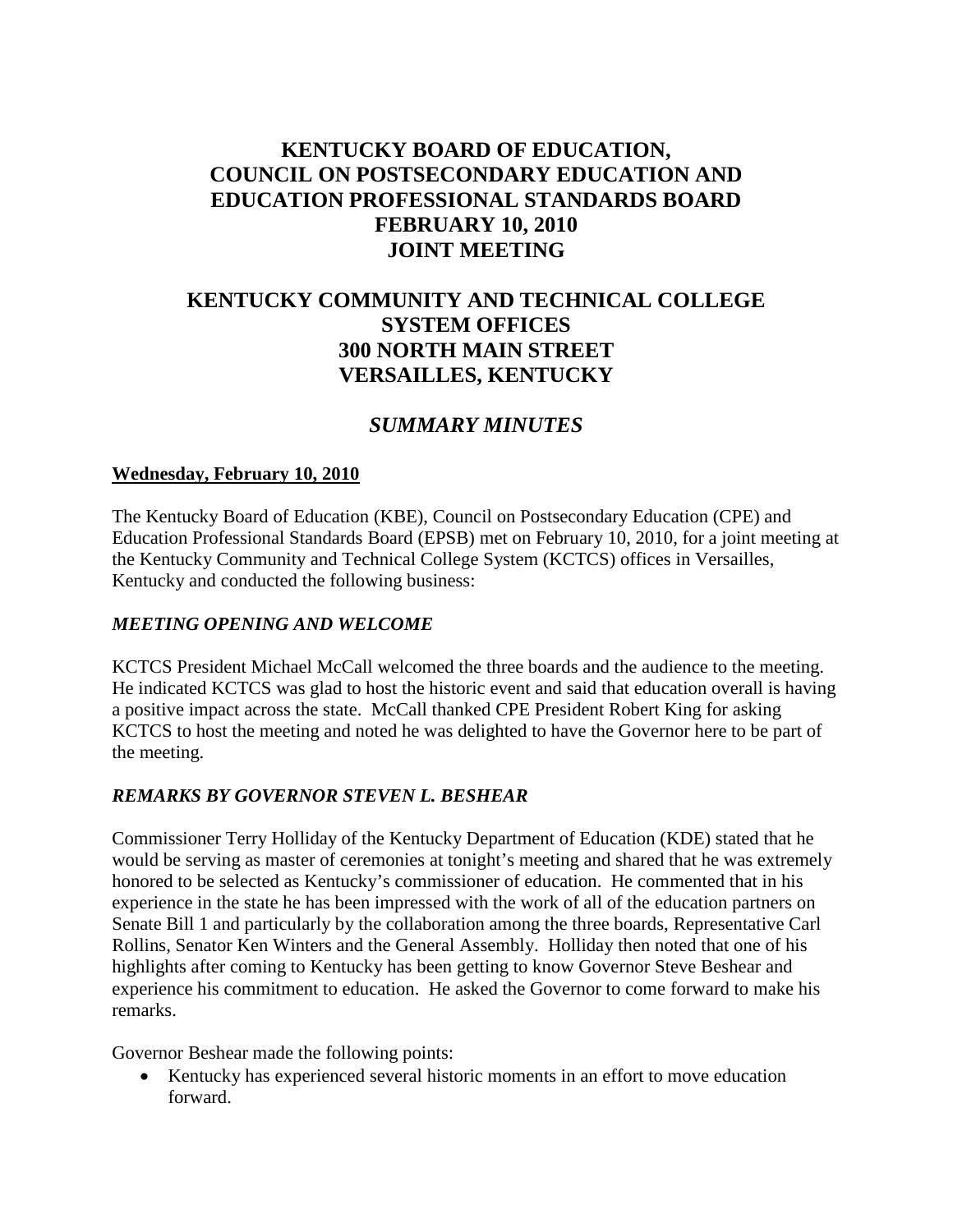# **KENTUCKY BOARD OF EDUCATION, COUNCIL ON POSTSECONDARY EDUCATION AND EDUCATION PROFESSIONAL STANDARDS BOARD FEBRUARY 10, 2010 JOINT MEETING**

# **KENTUCKY COMMUNITY AND TECHNICAL COLLEGE SYSTEM OFFICES 300 NORTH MAIN STREET VERSAILLES, KENTUCKY**

#### *SUMMARY MINUTES*

#### **Wednesday, February 10, 2010**

The Kentucky Board of Education (KBE), Council on Postsecondary Education (CPE) and Education Professional Standards Board (EPSB) met on February 10, 2010, for a joint meeting at the Kentucky Community and Technical College System (KCTCS) offices in Versailles, Kentucky and conducted the following business:

#### *MEETING OPENING AND WELCOME*

KCTCS President Michael McCall welcomed the three boards and the audience to the meeting. He indicated KCTCS was glad to host the historic event and said that education overall is having a positive impact across the state. McCall thanked CPE President Robert King for asking KCTCS to host the meeting and noted he was delighted to have the Governor here to be part of the meeting.

#### *REMARKS BY GOVERNOR STEVEN L. BESHEAR*

Commissioner Terry Holliday of the Kentucky Department of Education (KDE) stated that he would be serving as master of ceremonies at tonight's meeting and shared that he was extremely honored to be selected as Kentucky's commissioner of education. He commented that in his experience in the state he has been impressed with the work of all of the education partners on Senate Bill 1 and particularly by the collaboration among the three boards, Representative Carl Rollins, Senator Ken Winters and the General Assembly. Holliday then noted that one of his highlights after coming to Kentucky has been getting to know Governor Steve Beshear and experience his commitment to education. He asked the Governor to come forward to make his remarks.

Governor Beshear made the following points:

• Kentucky has experienced several historic moments in an effort to move education forward.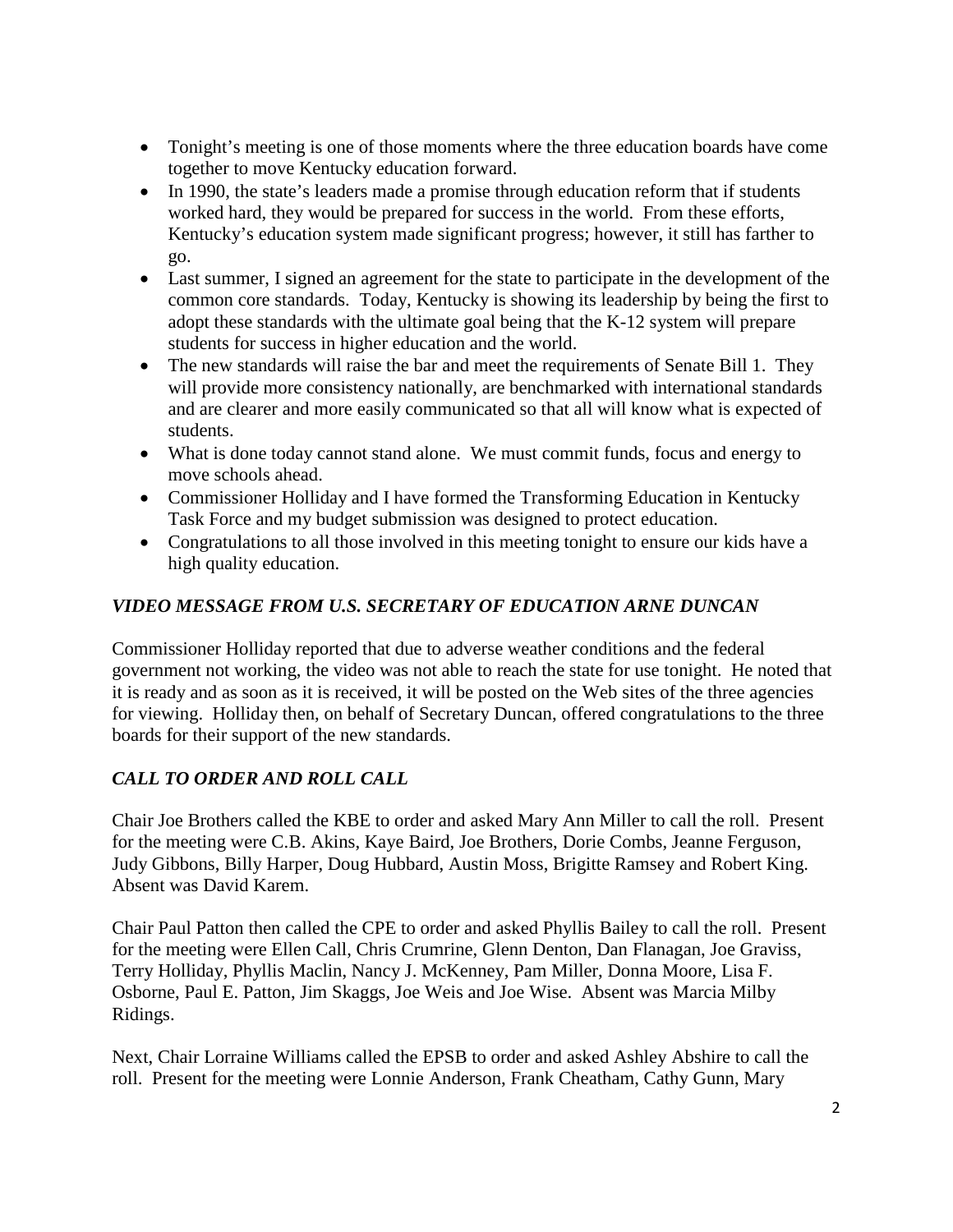- Tonight's meeting is one of those moments where the three education boards have come together to move Kentucky education forward.
- In 1990, the state's leaders made a promise through education reform that if students worked hard, they would be prepared for success in the world. From these efforts, Kentucky's education system made significant progress; however, it still has farther to go.
- Last summer, I signed an agreement for the state to participate in the development of the common core standards. Today, Kentucky is showing its leadership by being the first to adopt these standards with the ultimate goal being that the K-12 system will prepare students for success in higher education and the world.
- The new standards will raise the bar and meet the requirements of Senate Bill 1. They will provide more consistency nationally, are benchmarked with international standards and are clearer and more easily communicated so that all will know what is expected of students.
- What is done today cannot stand alone. We must commit funds, focus and energy to move schools ahead.
- Commissioner Holliday and I have formed the Transforming Education in Kentucky Task Force and my budget submission was designed to protect education.
- Congratulations to all those involved in this meeting tonight to ensure our kids have a high quality education.

### *VIDEO MESSAGE FROM U.S. SECRETARY OF EDUCATION ARNE DUNCAN*

Commissioner Holliday reported that due to adverse weather conditions and the federal government not working, the video was not able to reach the state for use tonight. He noted that it is ready and as soon as it is received, it will be posted on the Web sites of the three agencies for viewing. Holliday then, on behalf of Secretary Duncan, offered congratulations to the three boards for their support of the new standards.

## *CALL TO ORDER AND ROLL CALL*

Chair Joe Brothers called the KBE to order and asked Mary Ann Miller to call the roll. Present for the meeting were C.B. Akins, Kaye Baird, Joe Brothers, Dorie Combs, Jeanne Ferguson, Judy Gibbons, Billy Harper, Doug Hubbard, Austin Moss, Brigitte Ramsey and Robert King. Absent was David Karem.

Chair Paul Patton then called the CPE to order and asked Phyllis Bailey to call the roll. Present for the meeting were Ellen Call, Chris Crumrine, Glenn Denton, Dan Flanagan, Joe Graviss, Terry Holliday, Phyllis Maclin, Nancy J. McKenney, Pam Miller, Donna Moore, Lisa F. Osborne, Paul E. Patton, Jim Skaggs, Joe Weis and Joe Wise. Absent was Marcia Milby Ridings.

Next, Chair Lorraine Williams called the EPSB to order and asked Ashley Abshire to call the roll. Present for the meeting were Lonnie Anderson, Frank Cheatham, Cathy Gunn, Mary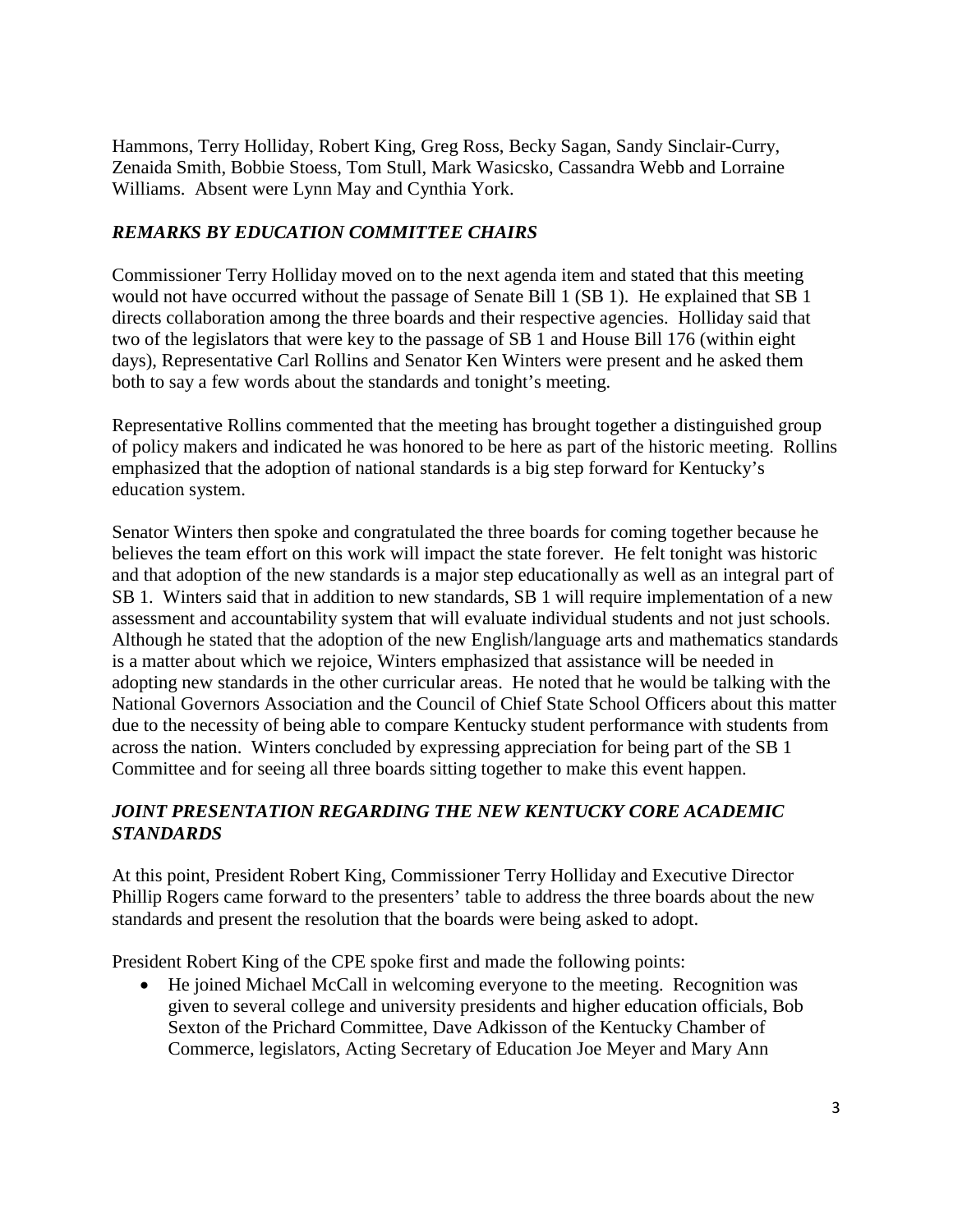Hammons, Terry Holliday, Robert King, Greg Ross, Becky Sagan, Sandy Sinclair-Curry, Zenaida Smith, Bobbie Stoess, Tom Stull, Mark Wasicsko, Cassandra Webb and Lorraine Williams. Absent were Lynn May and Cynthia York.

#### *REMARKS BY EDUCATION COMMITTEE CHAIRS*

Commissioner Terry Holliday moved on to the next agenda item and stated that this meeting would not have occurred without the passage of Senate Bill 1 (SB 1). He explained that SB 1 directs collaboration among the three boards and their respective agencies. Holliday said that two of the legislators that were key to the passage of SB 1 and House Bill 176 (within eight days), Representative Carl Rollins and Senator Ken Winters were present and he asked them both to say a few words about the standards and tonight's meeting.

Representative Rollins commented that the meeting has brought together a distinguished group of policy makers and indicated he was honored to be here as part of the historic meeting. Rollins emphasized that the adoption of national standards is a big step forward for Kentucky's education system.

Senator Winters then spoke and congratulated the three boards for coming together because he believes the team effort on this work will impact the state forever. He felt tonight was historic and that adoption of the new standards is a major step educationally as well as an integral part of SB 1. Winters said that in addition to new standards, SB 1 will require implementation of a new assessment and accountability system that will evaluate individual students and not just schools. Although he stated that the adoption of the new English/language arts and mathematics standards is a matter about which we rejoice, Winters emphasized that assistance will be needed in adopting new standards in the other curricular areas. He noted that he would be talking with the National Governors Association and the Council of Chief State School Officers about this matter due to the necessity of being able to compare Kentucky student performance with students from across the nation. Winters concluded by expressing appreciation for being part of the SB 1 Committee and for seeing all three boards sitting together to make this event happen.

#### *JOINT PRESENTATION REGARDING THE NEW KENTUCKY CORE ACADEMIC STANDARDS*

At this point, President Robert King, Commissioner Terry Holliday and Executive Director Phillip Rogers came forward to the presenters' table to address the three boards about the new standards and present the resolution that the boards were being asked to adopt.

President Robert King of the CPE spoke first and made the following points:

• He joined Michael McCall in welcoming everyone to the meeting. Recognition was given to several college and university presidents and higher education officials, Bob Sexton of the Prichard Committee, Dave Adkisson of the Kentucky Chamber of Commerce, legislators, Acting Secretary of Education Joe Meyer and Mary Ann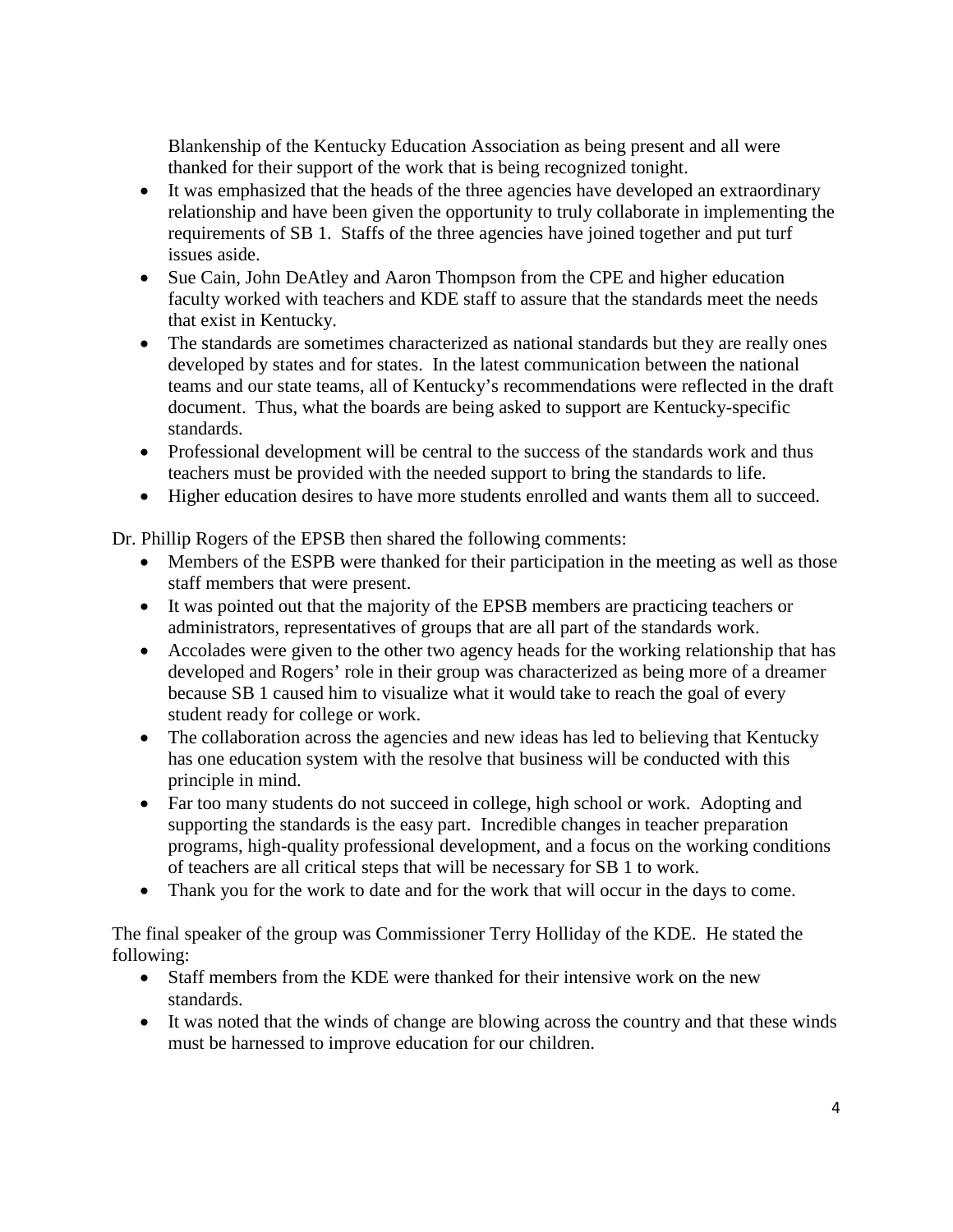Blankenship of the Kentucky Education Association as being present and all were thanked for their support of the work that is being recognized tonight.

- It was emphasized that the heads of the three agencies have developed an extraordinary relationship and have been given the opportunity to truly collaborate in implementing the requirements of SB 1. Staffs of the three agencies have joined together and put turf issues aside.
- Sue Cain, John DeAtley and Aaron Thompson from the CPE and higher education faculty worked with teachers and KDE staff to assure that the standards meet the needs that exist in Kentucky.
- The standards are sometimes characterized as national standards but they are really ones developed by states and for states. In the latest communication between the national teams and our state teams, all of Kentucky's recommendations were reflected in the draft document. Thus, what the boards are being asked to support are Kentucky-specific standards.
- Professional development will be central to the success of the standards work and thus teachers must be provided with the needed support to bring the standards to life.
- Higher education desires to have more students enrolled and wants them all to succeed.

Dr. Phillip Rogers of the EPSB then shared the following comments:

- Members of the ESPB were thanked for their participation in the meeting as well as those staff members that were present.
- It was pointed out that the majority of the EPSB members are practicing teachers or administrators, representatives of groups that are all part of the standards work.
- Accolades were given to the other two agency heads for the working relationship that has developed and Rogers' role in their group was characterized as being more of a dreamer because SB 1 caused him to visualize what it would take to reach the goal of every student ready for college or work.
- The collaboration across the agencies and new ideas has led to believing that Kentucky has one education system with the resolve that business will be conducted with this principle in mind.
- Far too many students do not succeed in college, high school or work. Adopting and supporting the standards is the easy part. Incredible changes in teacher preparation programs, high-quality professional development, and a focus on the working conditions of teachers are all critical steps that will be necessary for SB 1 to work.
- Thank you for the work to date and for the work that will occur in the days to come.

The final speaker of the group was Commissioner Terry Holliday of the KDE. He stated the following:

- Staff members from the KDE were thanked for their intensive work on the new standards.
- It was noted that the winds of change are blowing across the country and that these winds must be harnessed to improve education for our children.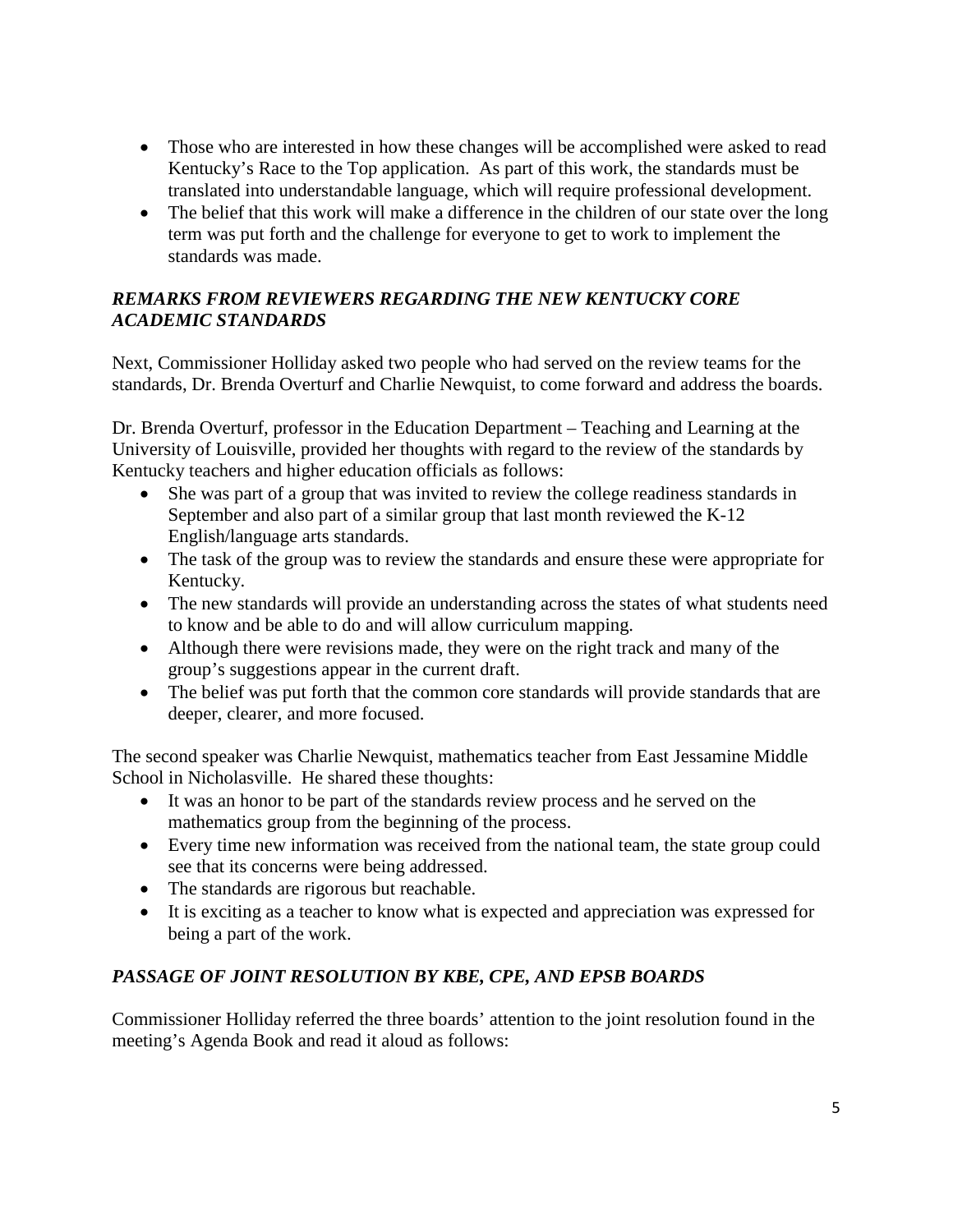- Those who are interested in how these changes will be accomplished were asked to read Kentucky's Race to the Top application. As part of this work, the standards must be translated into understandable language, which will require professional development.
- The belief that this work will make a difference in the children of our state over the long term was put forth and the challenge for everyone to get to work to implement the standards was made.

### *REMARKS FROM REVIEWERS REGARDING THE NEW KENTUCKY CORE ACADEMIC STANDARDS*

Next, Commissioner Holliday asked two people who had served on the review teams for the standards, Dr. Brenda Overturf and Charlie Newquist, to come forward and address the boards.

Dr. Brenda Overturf, professor in the Education Department – Teaching and Learning at the University of Louisville, provided her thoughts with regard to the review of the standards by Kentucky teachers and higher education officials as follows:

- She was part of a group that was invited to review the college readiness standards in September and also part of a similar group that last month reviewed the K-12 English/language arts standards.
- The task of the group was to review the standards and ensure these were appropriate for Kentucky.
- The new standards will provide an understanding across the states of what students need to know and be able to do and will allow curriculum mapping.
- Although there were revisions made, they were on the right track and many of the group's suggestions appear in the current draft.
- The belief was put forth that the common core standards will provide standards that are deeper, clearer, and more focused.

The second speaker was Charlie Newquist, mathematics teacher from East Jessamine Middle School in Nicholasville. He shared these thoughts:

- It was an honor to be part of the standards review process and he served on the mathematics group from the beginning of the process.
- Every time new information was received from the national team, the state group could see that its concerns were being addressed.
- The standards are rigorous but reachable.
- It is exciting as a teacher to know what is expected and appreciation was expressed for being a part of the work.

# *PASSAGE OF JOINT RESOLUTION BY KBE, CPE, AND EPSB BOARDS*

Commissioner Holliday referred the three boards' attention to the joint resolution found in the meeting's Agenda Book and read it aloud as follows: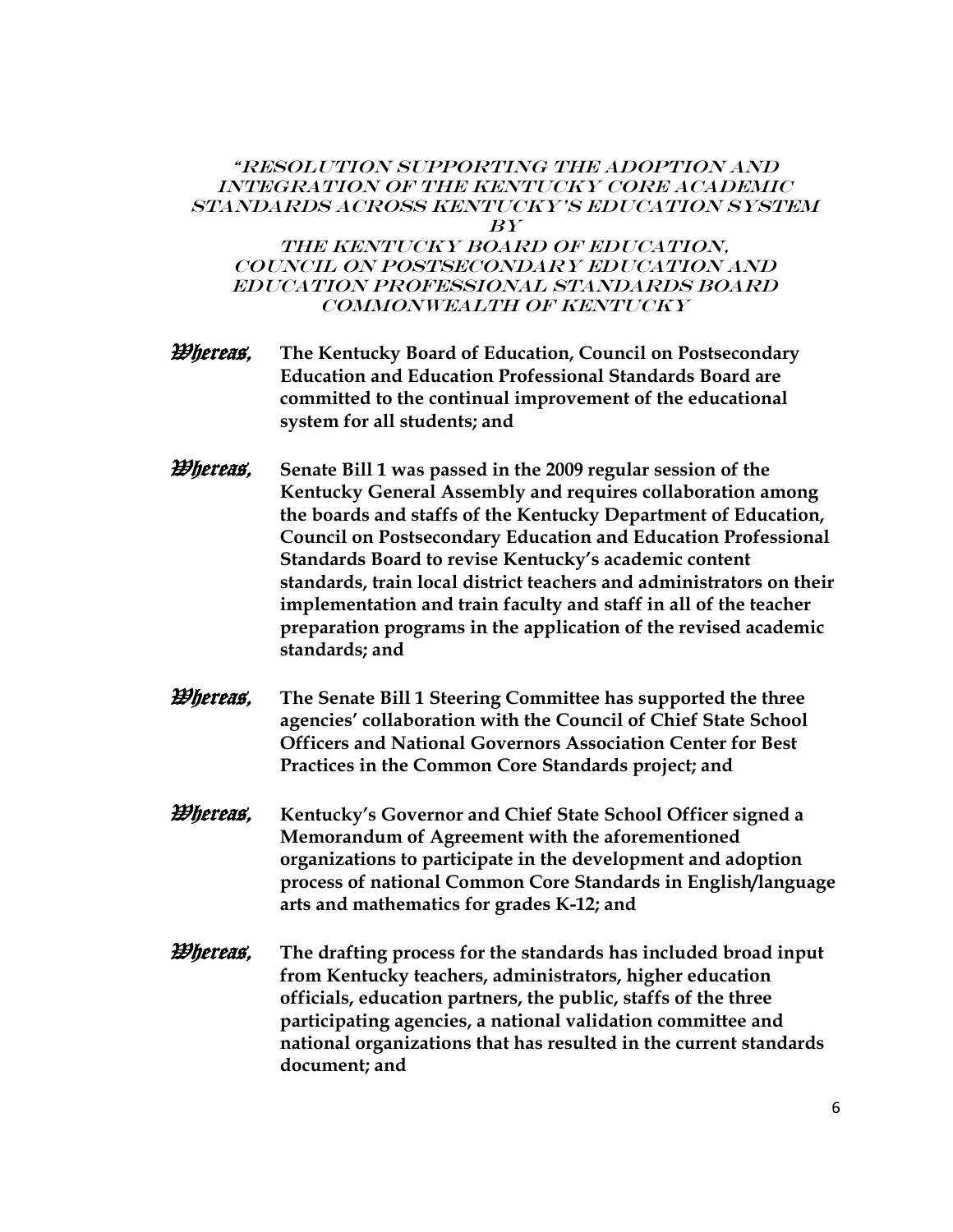#### "Resolution Supporting the Adoption and Integration of the KENTUCKY Core Academic Standards Across Kentucky's Education System  $BY$

THE KENTUCKY BOARD OF EDUCATION, Council on Postsecondary Education and Education Professional Standards Board COMMONWEALTH OF KENTUCKY

- *Whereas***, The Kentucky Board of Education, Council on Postsecondary Education and Education Professional Standards Board are committed to the continual improvement of the educational system for all students; and**
- *Whereas,* **Senate Bill 1 was passed in the 2009 regular session of the Kentucky General Assembly and requires collaboration among the boards and staffs of the Kentucky Department of Education, Council on Postsecondary Education and Education Professional Standards Board to revise Kentucky's academic content standards, train local district teachers and administrators on their implementation and train faculty and staff in all of the teacher preparation programs in the application of the revised academic standards; and**
- *Whereas***, The Senate Bill 1 Steering Committee has supported the three agencies' collaboration with the Council of Chief State School Officers and National Governors Association Center for Best Practices in the Common Core Standards project; and**
- Whereas, **Kentucky's Governor and Chief State School Officer signed a Memorandum of Agreement with the aforementioned organizations to participate in the development and adoption process of national Common Core Standards in English/language arts and mathematics for grades K-12; and**
- *Whereas***, The drafting process for the standards has included broad input from Kentucky teachers, administrators, higher education officials, education partners, the public, staffs of the three participating agencies, a national validation committee and national organizations that has resulted in the current standards document; and**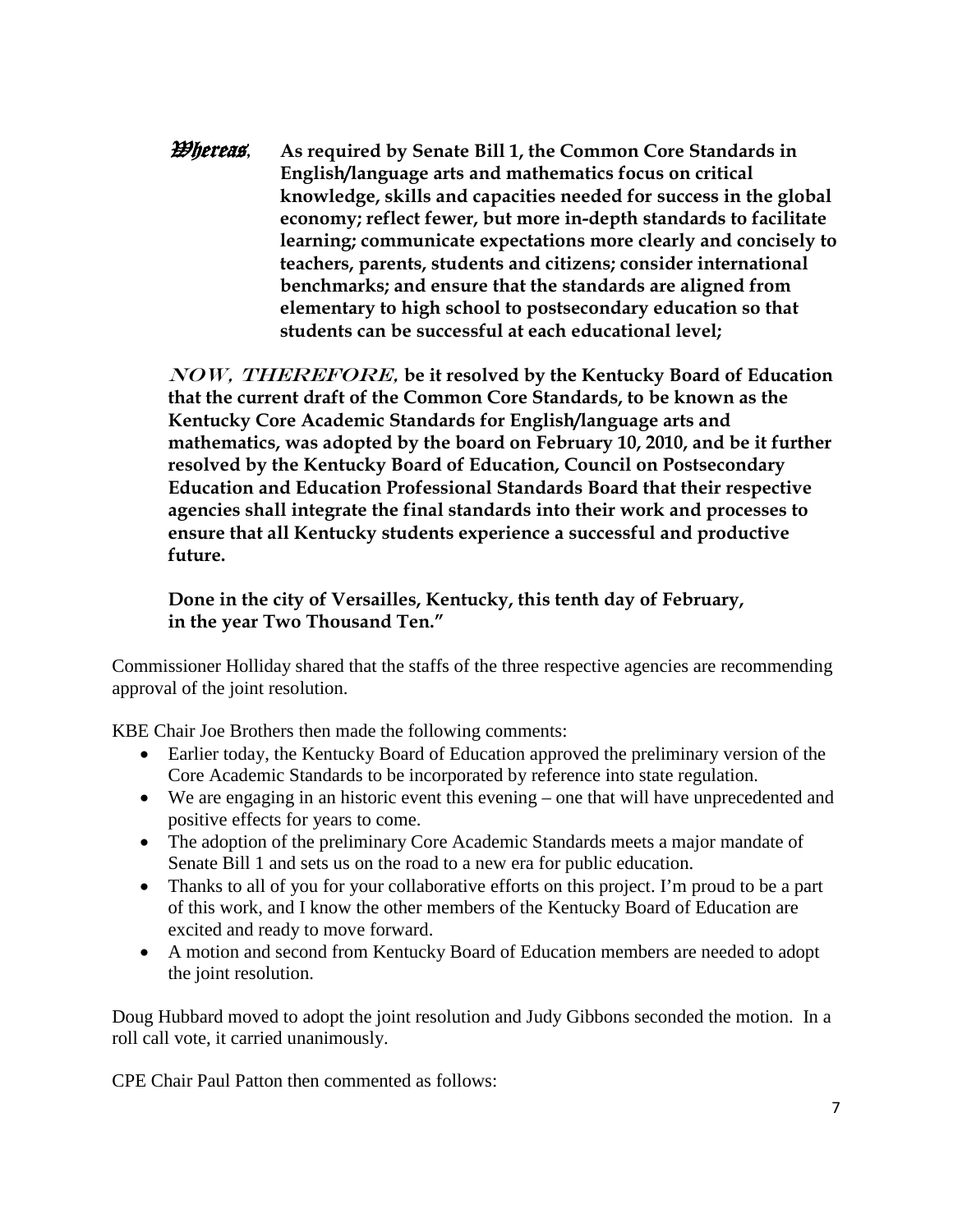*Whereas***, As required by Senate Bill 1, the Common Core Standards in English/language arts and mathematics focus on critical knowledge, skills and capacities needed for success in the global economy; reflect fewer, but more in-depth standards to facilitate learning; communicate expectations more clearly and concisely to teachers, parents, students and citizens; consider international benchmarks; and ensure that the standards are aligned from elementary to high school to postsecondary education so that students can be successful at each educational level;**

NOW, THEREFORE, **be it resolved by the Kentucky Board of Education that the current draft of the Common Core Standards, to be known as the Kentucky Core Academic Standards for English/language arts and mathematics, was adopted by the board on February 10, 2010, and be it further resolved by the Kentucky Board of Education, Council on Postsecondary Education and Education Professional Standards Board that their respective agencies shall integrate the final standards into their work and processes to ensure that all Kentucky students experience a successful and productive future.**

**Done in the city of Versailles, Kentucky, this tenth day of February, in the year Two Thousand Ten."**

Commissioner Holliday shared that the staffs of the three respective agencies are recommending approval of the joint resolution.

KBE Chair Joe Brothers then made the following comments:

- Earlier today, the Kentucky Board of Education approved the preliminary version of the Core Academic Standards to be incorporated by reference into state regulation.
- We are engaging in an historic event this evening one that will have unprecedented and positive effects for years to come.
- The adoption of the preliminary Core Academic Standards meets a major mandate of Senate Bill 1 and sets us on the road to a new era for public education.
- Thanks to all of you for your collaborative efforts on this project. I'm proud to be a part of this work, and I know the other members of the Kentucky Board of Education are excited and ready to move forward.
- A motion and second from Kentucky Board of Education members are needed to adopt the joint resolution.

Doug Hubbard moved to adopt the joint resolution and Judy Gibbons seconded the motion. In a roll call vote, it carried unanimously.

CPE Chair Paul Patton then commented as follows: